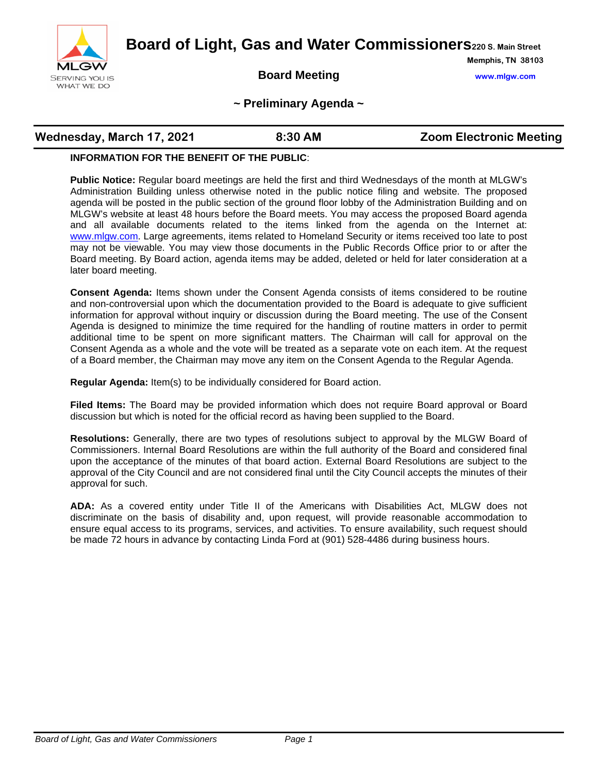

**Board of Light, Gas and Water Commissioners220 S. Main Street**

**Board Meeting www.mlgw.com**

**Memphis, TN 38103**

#### **~ Preliminary Agenda ~**

| Wednesday, March 17, 2021<br>8:30 AM | <b>Zoom Electronic Meeting</b> |
|--------------------------------------|--------------------------------|
|--------------------------------------|--------------------------------|

#### **INFORMATION FOR THE BENEFIT OF THE PUBLIC**:

**Public Notice:** Regular board meetings are held the first and third Wednesdays of the month at MLGW's Administration Building unless otherwise noted in the public notice filing and website. The proposed agenda will be posted in the public section of the ground floor lobby of the Administration Building and on MLGW's website at least 48 hours before the Board meets. You may access the proposed Board agenda and all available documents related to the items linked from the agenda on the Internet at: [www.mlgw.com.](http://www.mlgw.com/) Large agreements, items related to Homeland Security or items received too late to post may not be viewable. You may view those documents in the Public Records Office prior to or after the Board meeting. By Board action, agenda items may be added, deleted or held for later consideration at a later board meeting.

**Consent Agenda:** Items shown under the Consent Agenda consists of items considered to be routine and non-controversial upon which the documentation provided to the Board is adequate to give sufficient information for approval without inquiry or discussion during the Board meeting. The use of the Consent Agenda is designed to minimize the time required for the handling of routine matters in order to permit additional time to be spent on more significant matters. The Chairman will call for approval on the Consent Agenda as a whole and the vote will be treated as a separate vote on each item. At the request of a Board member, the Chairman may move any item on the Consent Agenda to the Regular Agenda.

**Regular Agenda:** Item(s) to be individually considered for Board action.

**Filed Items:** The Board may be provided information which does not require Board approval or Board discussion but which is noted for the official record as having been supplied to the Board.

**Resolutions:** Generally, there are two types of resolutions subject to approval by the MLGW Board of Commissioners. Internal Board Resolutions are within the full authority of the Board and considered final upon the acceptance of the minutes of that board action. External Board Resolutions are subject to the approval of the City Council and are not considered final until the City Council accepts the minutes of their approval for such.

**ADA:** As a covered entity under Title II of the Americans with Disabilities Act, MLGW does not discriminate on the basis of disability and, upon request, will provide reasonable accommodation to ensure equal access to its programs, services, and activities. To ensure availability, such request should be made 72 hours in advance by contacting Linda Ford at (901) 528-4486 during business hours.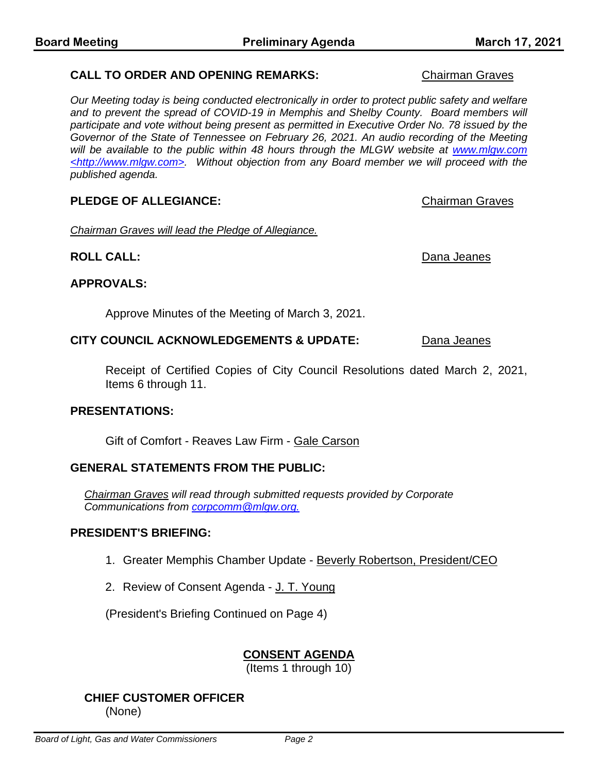*Our Meeting today is being conducted electronically in order to protect public safety and welfare*  and to prevent the spread of COVID-19 in Memphis and Shelby County. Board members will *participate and vote without being present as permitted in Executive Order No. 78 issued by the Governor of the State of Tennessee on February 26, 2021. An audio recording of the Meeting will be available to the public within 48 hours through the MLGW website at www.mlgw.com <http://www.mlgw.com>. Without objection from any Board member we will proceed with the published agenda.*

## **PLEDGE OF ALLEGIANCE: Chairman Graves Chairman Graves**

*Chairman Graves will lead the Pledge of Allegiance.*

## **ROLL CALL:** Dana Jeanes

# **APPROVALS:**

Approve Minutes of the Meeting of March 3, 2021.

### **CITY COUNCIL ACKNOWLEDGEMENTS & UPDATE:** Dana Jeanes

Receipt of Certified Copies of City Council Resolutions dated March 2, 2021, Items 6 through 11.

### **PRESENTATIONS:**

Gift of Comfort - Reaves Law Firm - Gale Carson

### **GENERAL STATEMENTS FROM THE PUBLIC:**

*Chairman Graves will read through submitted requests provided by Corporate Communications from [corpcomm@mlgw.org.](mailto:corpcomm@mlgw.org)*

#### **PRESIDENT'S BRIEFING:**

- 1. Greater Memphis Chamber Update Beverly Robertson, President/CEO
- 2. Review of Consent Agenda J. T. Young

(President's Briefing Continued on Page 4)

## **CONSENT AGENDA**

(Items 1 through 10)

# **CHIEF CUSTOMER OFFICER**

(None)

### **CALL TO ORDER AND OPENING REMARKS:** Chairman Graves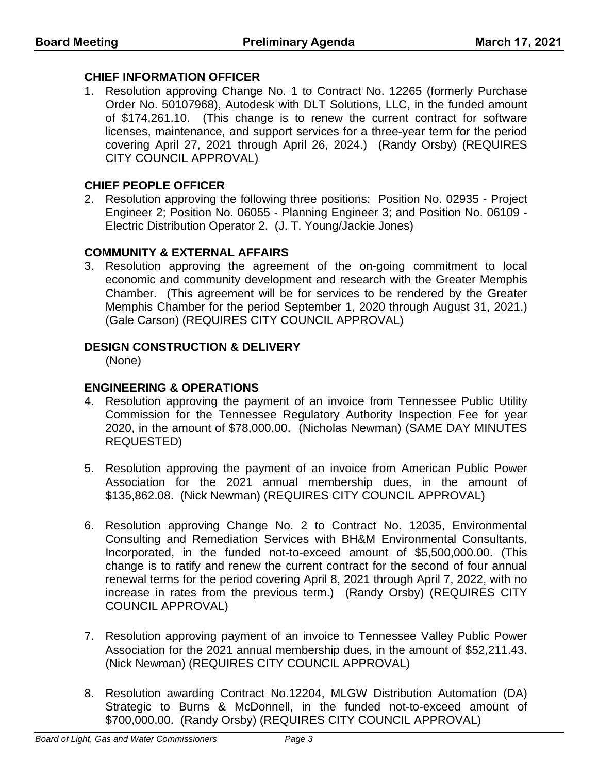#### **CHIEF INFORMATION OFFICER**

1. Resolution approving Change No. 1 to Contract No. 12265 (formerly Purchase Order No. 50107968), Autodesk with DLT Solutions, LLC, in the funded amount of \$174,261.10. (This change is to renew the current contract for software licenses, maintenance, and support services for a three-year term for the period covering April 27, 2021 through April 26, 2024.) (Randy Orsby) (REQUIRES CITY COUNCIL APPROVAL)

#### **CHIEF PEOPLE OFFICER**

2. Resolution approving the following three positions: Position No. 02935 - Project Engineer 2; Position No. 06055 - Planning Engineer 3; and Position No. 06109 - Electric Distribution Operator 2. (J. T. Young/Jackie Jones)

#### **COMMUNITY & EXTERNAL AFFAIRS**

3. Resolution approving the agreement of the on-going commitment to local economic and community development and research with the Greater Memphis Chamber. (This agreement will be for services to be rendered by the Greater Memphis Chamber for the period September 1, 2020 through August 31, 2021.) (Gale Carson) (REQUIRES CITY COUNCIL APPROVAL)

#### **DESIGN CONSTRUCTION & DELIVERY**

(None)

#### **ENGINEERING & OPERATIONS**

- 4. Resolution approving the payment of an invoice from Tennessee Public Utility Commission for the Tennessee Regulatory Authority Inspection Fee for year 2020, in the amount of \$78,000.00. (Nicholas Newman) (SAME DAY MINUTES REQUESTED)
- 5. Resolution approving the payment of an invoice from American Public Power Association for the 2021 annual membership dues, in the amount of \$135,862.08. (Nick Newman) (REQUIRES CITY COUNCIL APPROVAL)
- 6. Resolution approving Change No. 2 to Contract No. 12035, Environmental Consulting and Remediation Services with BH&M Environmental Consultants, Incorporated, in the funded not-to-exceed amount of \$5,500,000.00. (This change is to ratify and renew the current contract for the second of four annual renewal terms for the period covering April 8, 2021 through April 7, 2022, with no increase in rates from the previous term.) (Randy Orsby) (REQUIRES CITY COUNCIL APPROVAL)
- 7. Resolution approving payment of an invoice to Tennessee Valley Public Power Association for the 2021 annual membership dues, in the amount of \$52,211.43. (Nick Newman) (REQUIRES CITY COUNCIL APPROVAL)
- 8. Resolution awarding Contract No.12204, MLGW Distribution Automation (DA) Strategic to Burns & McDonnell, in the funded not-to-exceed amount of \$700,000.00. (Randy Orsby) (REQUIRES CITY COUNCIL APPROVAL)